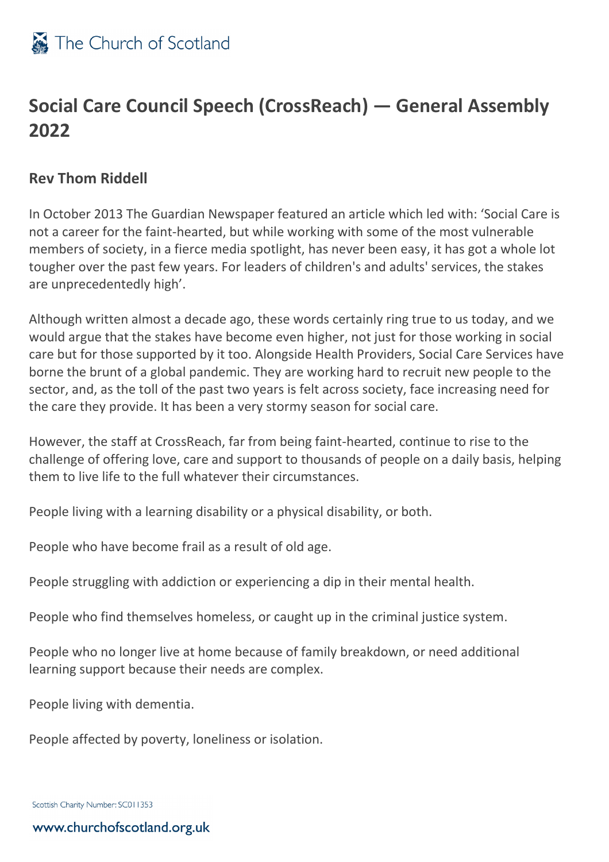

## **Social Care Council Speech (CrossReach) — General Assembly 2022**

## **Rev Thom Riddell**

In October 2013 The Guardian Newspaper featured an article which led with: 'Social Care is not a career for the faint-hearted, but while working with some of the most vulnerable members of society, in a fierce media spotlight, has never been easy, it has got a whole lot tougher over the past few years. For leaders of children's and adults' services, the stakes are unprecedentedly high'.

Although written almost a decade ago, these words certainly ring true to us today, and we would argue that the stakes have become even higher, not just for those working in social care but for those supported by it too. Alongside Health Providers, Social Care Services have borne the brunt of a global pandemic. They are working hard to recruit new people to the sector, and, as the toll of the past two years is felt across society, face increasing need for the care they provide. It has been a very stormy season for social care.

However, the staff at CrossReach, far from being faint-hearted, continue to rise to the challenge of offering love, care and support to thousands of people on a daily basis, helping them to live life to the full whatever their circumstances.

People living with a learning disability or a physical disability, or both.

People who have become frail as a result of old age.

People struggling with addiction or experiencing a dip in their mental health.

People who find themselves homeless, or caught up in the criminal justice system.

People who no longer live at home because of family breakdown, or need additional learning support because their needs are complex.

People living with dementia.

People affected by poverty, loneliness or isolation.

Scottish Charity Number: SC011353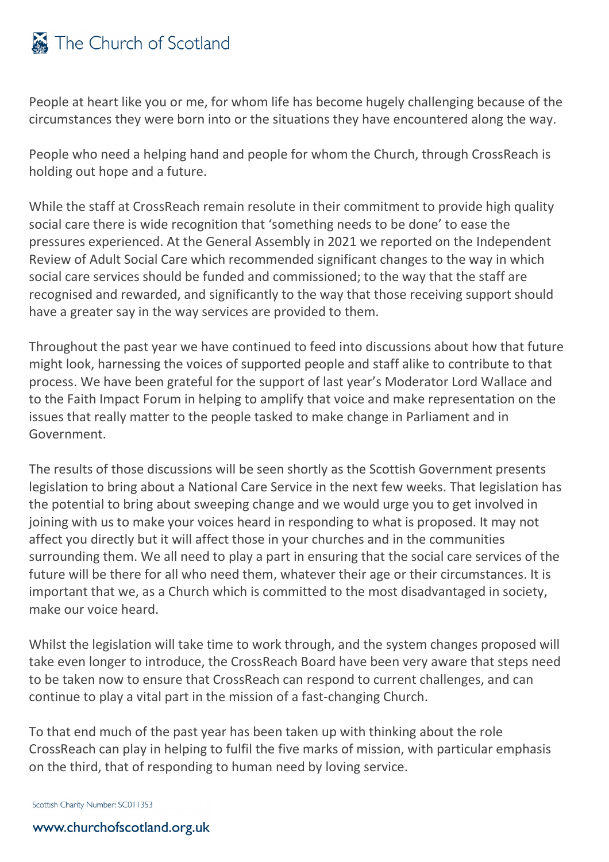## The Church of Scotland

People at heart like you or me, for whom life has become hugely challenging because of the circumstances they were born into or the situations they have encountered along the way.

People who need a helping hand and people for whom the Church, through CrossReach is holding out hope and a future.

While the staff at CrossReach remain resolute in their commitment to provide high quality social care there is wide recognition that 'something needs to be done' to ease the pressures experienced. At the General Assembly in 2021 we reported on the Independent Review of Adult Social Care which recommended significant changes to the way in which social care services should be funded and commissioned; to the way that the staff are recognised and rewarded, and significantly to the way that those receiving support should have a greater say in the way services are provided to them.

Throughout the past year we have continued to feed into discussions about how that future might look, harnessing the voices of supported people and staff alike to contribute to that process. We have been grateful for the support of last year's Moderator Lord Wallace and to the Faith Impact Forum in helping to amplify that voice and make representation on the issues that really matter to the people tasked to make change in Parliament and in Government.

The results of those discussions will be seen shortly as the Scottish Government presents legislation to bring about a National Care Service in the next few weeks. That legislation has the potential to bring about sweeping change and we would urge you to get involved in joining with us to make your voices heard in responding to what is proposed. It may not affect you directly but it will affect those in your churches and in the communities surrounding them. We all need to play a part in ensuring that the social care services of the future will be there for all who need them, whatever their age or their circumstances. It is important that we, as a Church which is committed to the most disadvantaged in society, make our voice heard.

Whilst the legislation will take time to work through, and the system changes proposed will take even longer to introduce, the CrossReach Board have been very aware that steps need to be taken now to ensure that CrossReach can respond to current challenges, and can continue to play a vital part in the mission of a fast-changing Church.

To that end much of the past year has been taken up with thinking about the role CrossReach can play in helping to fulfil the five marks of mission, with particular emphasis on the third, that of responding to human need by loving service.

Scottish Charity Number: SC011353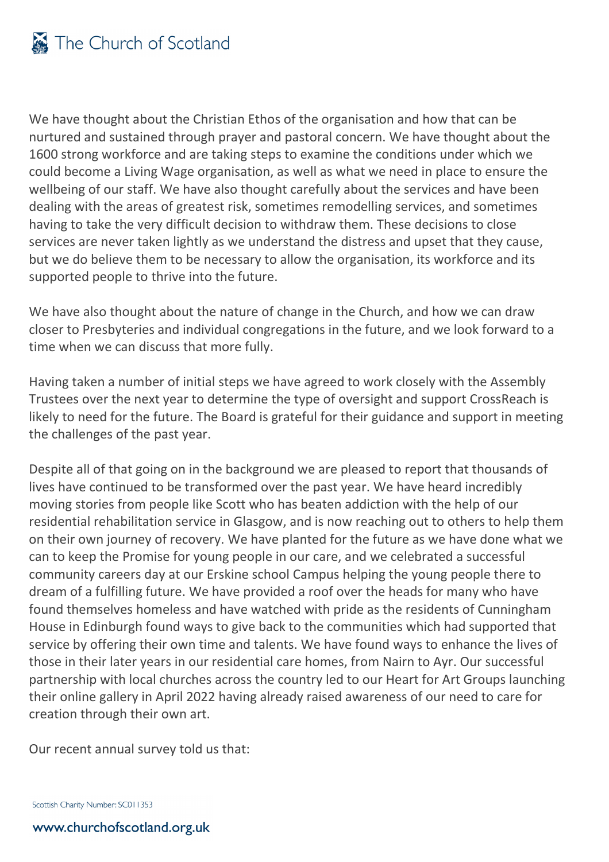We have thought about the Christian Ethos of the organisation and how that can be nurtured and sustained through prayer and pastoral concern. We have thought about the 1600 strong workforce and are taking steps to examine the conditions under which we could become a Living Wage organisation, as well as what we need in place to ensure the wellbeing of our staff. We have also thought carefully about the services and have been dealing with the areas of greatest risk, sometimes remodelling services, and sometimes having to take the very difficult decision to withdraw them. These decisions to close services are never taken lightly as we understand the distress and upset that they cause, but we do believe them to be necessary to allow the organisation, its workforce and its supported people to thrive into the future.

We have also thought about the nature of change in the Church, and how we can draw closer to Presbyteries and individual congregations in the future, and we look forward to a time when we can discuss that more fully.

Having taken a number of initial steps we have agreed to work closely with the Assembly Trustees over the next year to determine the type of oversight and support CrossReach is likely to need for the future. The Board is grateful for their guidance and support in meeting the challenges of the past year.

Despite all of that going on in the background we are pleased to report that thousands of lives have continued to be transformed over the past year. We have heard incredibly moving stories from people like Scott who has beaten addiction with the help of our residential rehabilitation service in Glasgow, and is now reaching out to others to help them on their own journey of recovery. We have planted for the future as we have done what we can to keep the Promise for young people in our care, and we celebrated a successful community careers day at our Erskine school Campus helping the young people there to dream of a fulfilling future. We have provided a roof over the heads for many who have found themselves homeless and have watched with pride as the residents of Cunningham House in Edinburgh found ways to give back to the communities which had supported that service by offering their own time and talents. We have found ways to enhance the lives of those in their later years in our residential care homes, from Nairn to Ayr. Our successful partnership with local churches across the country led to our Heart for Art Groups launching their online gallery in April 2022 having already raised awareness of our need to care for creation through their own art.

Our recent annual survey told us that: